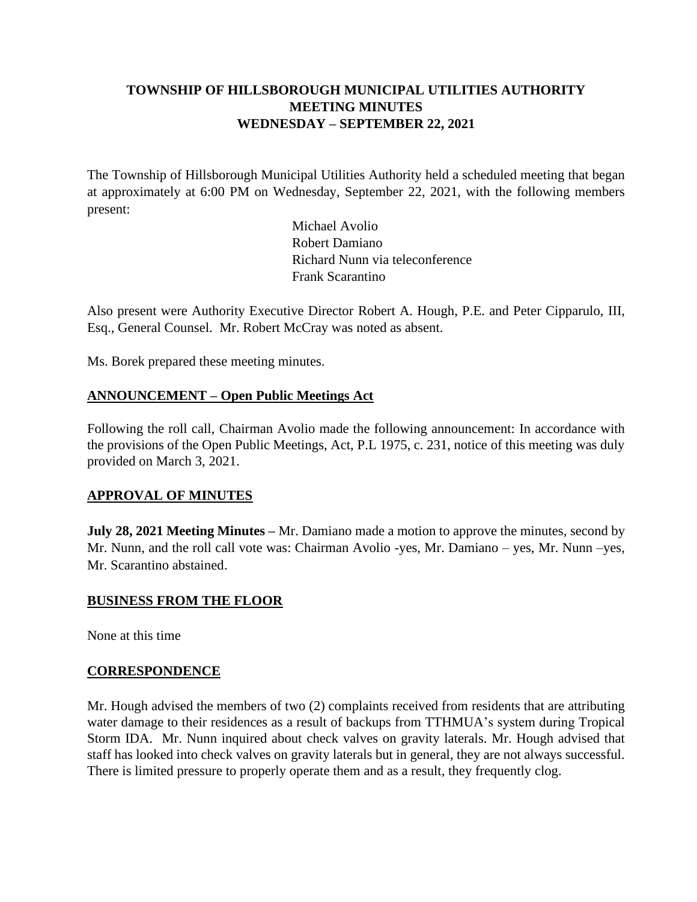# **TOWNSHIP OF HILLSBOROUGH MUNICIPAL UTILITIES AUTHORITY MEETING MINUTES WEDNESDAY – SEPTEMBER 22, 2021**

The Township of Hillsborough Municipal Utilities Authority held a scheduled meeting that began at approximately at 6:00 PM on Wednesday, September 22, 2021, with the following members present:

> Michael Avolio Robert Damiano Richard Nunn via teleconference Frank Scarantino

Also present were Authority Executive Director Robert A. Hough, P.E. and Peter Cipparulo, III, Esq., General Counsel. Mr. Robert McCray was noted as absent.

Ms. Borek prepared these meeting minutes.

### **ANNOUNCEMENT – Open Public Meetings Act**

Following the roll call, Chairman Avolio made the following announcement: In accordance with the provisions of the Open Public Meetings, Act, P.L 1975, c. 231, notice of this meeting was duly provided on March 3, 2021.

### **APPROVAL OF MINUTES**

**July 28, 2021 Meeting Minutes –** Mr. Damiano made a motion to approve the minutes, second by Mr. Nunn, and the roll call vote was: Chairman Avolio -yes, Mr. Damiano – yes, Mr. Nunn –yes, Mr. Scarantino abstained.

#### **BUSINESS FROM THE FLOOR**

None at this time

#### **CORRESPONDENCE**

Mr. Hough advised the members of two (2) complaints received from residents that are attributing water damage to their residences as a result of backups from TTHMUA's system during Tropical Storm IDA. Mr. Nunn inquired about check valves on gravity laterals. Mr. Hough advised that staff has looked into check valves on gravity laterals but in general, they are not always successful. There is limited pressure to properly operate them and as a result, they frequently clog.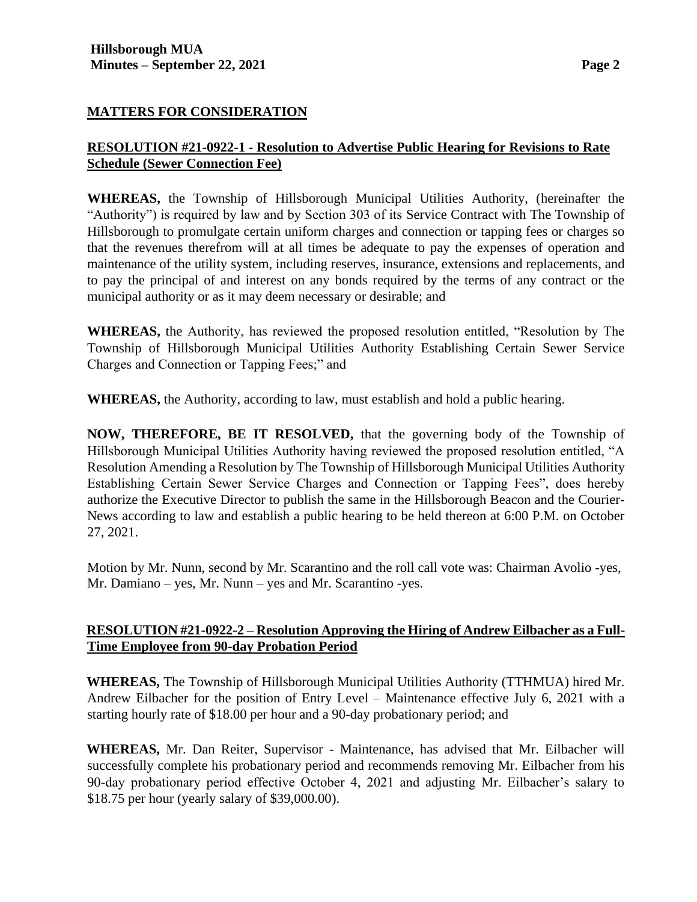### **MATTERS FOR CONSIDERATION**

# **RESOLUTION #21-0922-1 - Resolution to Advertise Public Hearing for Revisions to Rate Schedule (Sewer Connection Fee)**

**WHEREAS,** the Township of Hillsborough Municipal Utilities Authority, (hereinafter the "Authority") is required by law and by Section 303 of its Service Contract with The Township of Hillsborough to promulgate certain uniform charges and connection or tapping fees or charges so that the revenues therefrom will at all times be adequate to pay the expenses of operation and maintenance of the utility system, including reserves, insurance, extensions and replacements, and to pay the principal of and interest on any bonds required by the terms of any contract or the municipal authority or as it may deem necessary or desirable; and

**WHEREAS,** the Authority, has reviewed the proposed resolution entitled, "Resolution by The Township of Hillsborough Municipal Utilities Authority Establishing Certain Sewer Service Charges and Connection or Tapping Fees;" and

**WHEREAS,** the Authority, according to law, must establish and hold a public hearing.

**NOW, THEREFORE, BE IT RESOLVED,** that the governing body of the Township of Hillsborough Municipal Utilities Authority having reviewed the proposed resolution entitled, "A Resolution Amending a Resolution by The Township of Hillsborough Municipal Utilities Authority Establishing Certain Sewer Service Charges and Connection or Tapping Fees", does hereby authorize the Executive Director to publish the same in the Hillsborough Beacon and the Courier-News according to law and establish a public hearing to be held thereon at 6:00 P.M. on October 27, 2021.

Motion by Mr. Nunn, second by Mr. Scarantino and the roll call vote was: Chairman Avolio -yes, Mr. Damiano – yes, Mr. Nunn – yes and Mr. Scarantino -yes.

### **RESOLUTION #21-0922-2 – Resolution Approving the Hiring of Andrew Eilbacher as a Full-Time Employee from 90-day Probation Period**

**WHEREAS,** The Township of Hillsborough Municipal Utilities Authority (TTHMUA) hired Mr. Andrew Eilbacher for the position of Entry Level – Maintenance effective July 6, 2021 with a starting hourly rate of \$18.00 per hour and a 90-day probationary period; and

**WHEREAS,** Mr. Dan Reiter, Supervisor - Maintenance, has advised that Mr. Eilbacher will successfully complete his probationary period and recommends removing Mr. Eilbacher from his 90-day probationary period effective October 4, 2021 and adjusting Mr. Eilbacher's salary to \$18.75 per hour (yearly salary of \$39,000.00).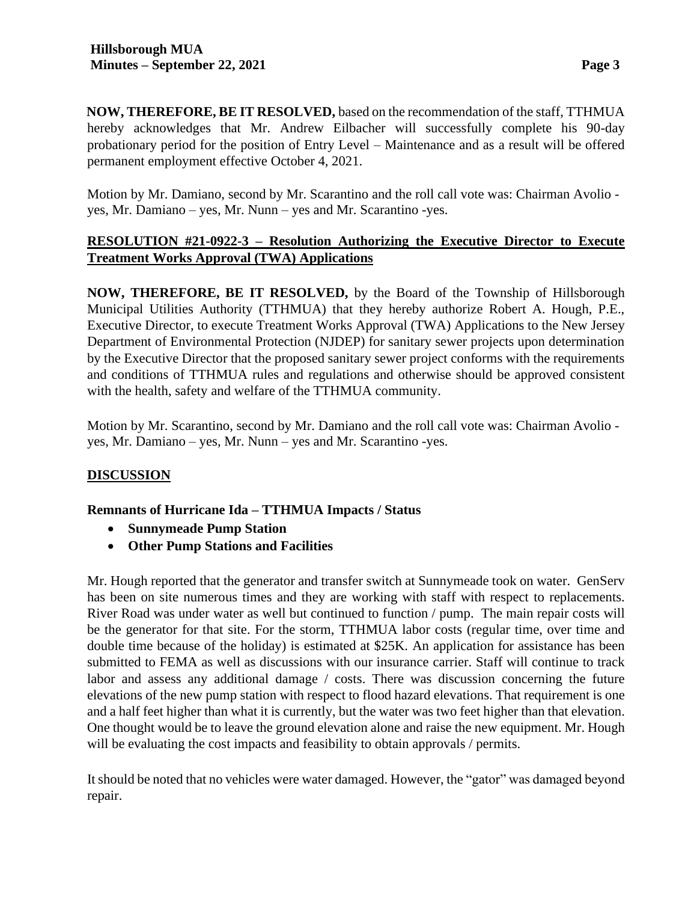**NOW, THEREFORE, BE IT RESOLVED,** based on the recommendation of the staff, TTHMUA hereby acknowledges that Mr. Andrew Eilbacher will successfully complete his 90-day probationary period for the position of Entry Level – Maintenance and as a result will be offered permanent employment effective October 4, 2021.

Motion by Mr. Damiano, second by Mr. Scarantino and the roll call vote was: Chairman Avolio yes, Mr. Damiano – yes, Mr. Nunn – yes and Mr. Scarantino -yes.

# **RESOLUTION #21-0922-3 – Resolution Authorizing the Executive Director to Execute Treatment Works Approval (TWA) Applications**

**NOW, THEREFORE, BE IT RESOLVED,** by the Board of the Township of Hillsborough Municipal Utilities Authority (TTHMUA) that they hereby authorize Robert A. Hough, P.E., Executive Director, to execute Treatment Works Approval (TWA) Applications to the New Jersey Department of Environmental Protection (NJDEP) for sanitary sewer projects upon determination by the Executive Director that the proposed sanitary sewer project conforms with the requirements and conditions of TTHMUA rules and regulations and otherwise should be approved consistent with the health, safety and welfare of the TTHMUA community.

Motion by Mr. Scarantino, second by Mr. Damiano and the roll call vote was: Chairman Avolio yes, Mr. Damiano – yes, Mr. Nunn – yes and Mr. Scarantino -yes.

### **DISCUSSION**

### **Remnants of Hurricane Ida – TTHMUA Impacts / Status**

- **Sunnymeade Pump Station**
- **Other Pump Stations and Facilities**

Mr. Hough reported that the generator and transfer switch at Sunnymeade took on water. GenServ has been on site numerous times and they are working with staff with respect to replacements. River Road was under water as well but continued to function / pump. The main repair costs will be the generator for that site. For the storm, TTHMUA labor costs (regular time, over time and double time because of the holiday) is estimated at \$25K. An application for assistance has been submitted to FEMA as well as discussions with our insurance carrier. Staff will continue to track labor and assess any additional damage / costs. There was discussion concerning the future elevations of the new pump station with respect to flood hazard elevations. That requirement is one and a half feet higher than what it is currently, but the water was two feet higher than that elevation. One thought would be to leave the ground elevation alone and raise the new equipment. Mr. Hough will be evaluating the cost impacts and feasibility to obtain approvals / permits.

It should be noted that no vehicles were water damaged. However, the "gator" was damaged beyond repair.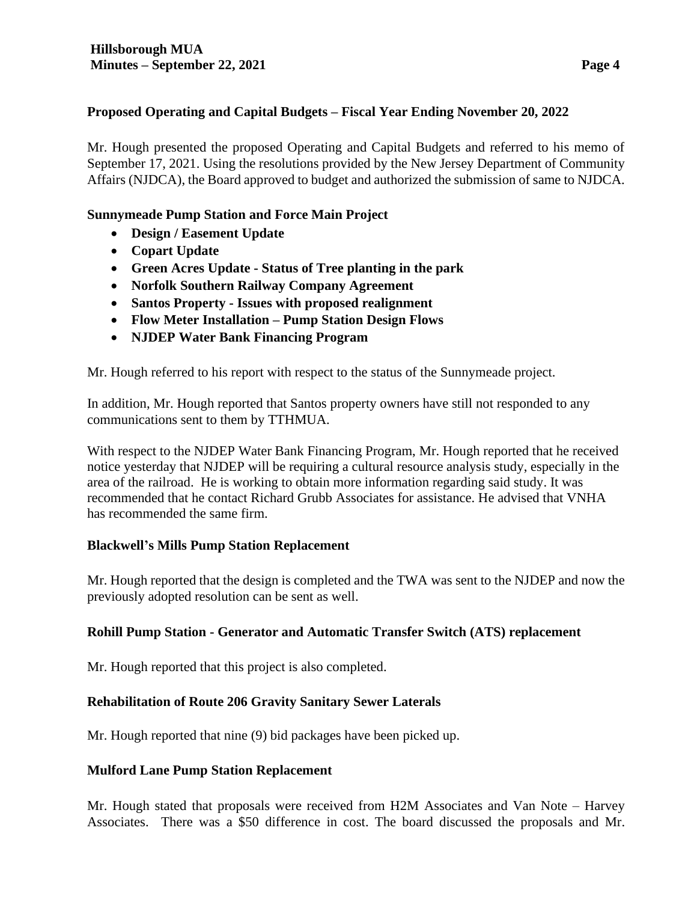#### **Proposed Operating and Capital Budgets – Fiscal Year Ending November 20, 2022**

Mr. Hough presented the proposed Operating and Capital Budgets and referred to his memo of September 17, 2021. Using the resolutions provided by the New Jersey Department of Community Affairs (NJDCA), the Board approved to budget and authorized the submission of same to NJDCA.

#### **Sunnymeade Pump Station and Force Main Project**

- **Design / Easement Update**
- **Copart Update**
- **Green Acres Update - Status of Tree planting in the park**
- **Norfolk Southern Railway Company Agreement**
- **Santos Property - Issues with proposed realignment**
- **Flow Meter Installation – Pump Station Design Flows**
- **NJDEP Water Bank Financing Program**

Mr. Hough referred to his report with respect to the status of the Sunnymeade project.

In addition, Mr. Hough reported that Santos property owners have still not responded to any communications sent to them by TTHMUA.

With respect to the NJDEP Water Bank Financing Program, Mr. Hough reported that he received notice yesterday that NJDEP will be requiring a cultural resource analysis study, especially in the area of the railroad. He is working to obtain more information regarding said study. It was recommended that he contact Richard Grubb Associates for assistance. He advised that VNHA has recommended the same firm.

### **Blackwell's Mills Pump Station Replacement**

Mr. Hough reported that the design is completed and the TWA was sent to the NJDEP and now the previously adopted resolution can be sent as well.

### **Rohill Pump Station - Generator and Automatic Transfer Switch (ATS) replacement**

Mr. Hough reported that this project is also completed.

### **Rehabilitation of Route 206 Gravity Sanitary Sewer Laterals**

Mr. Hough reported that nine (9) bid packages have been picked up.

#### **Mulford Lane Pump Station Replacement**

Mr. Hough stated that proposals were received from H2M Associates and Van Note – Harvey Associates. There was a \$50 difference in cost. The board discussed the proposals and Mr.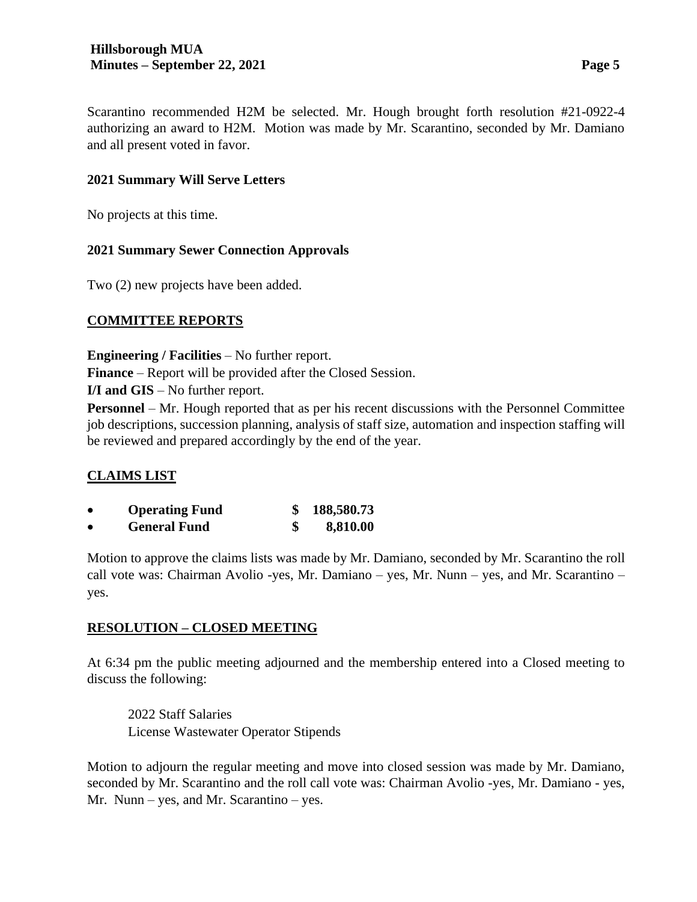Scarantino recommended H2M be selected. Mr. Hough brought forth resolution #21-0922-4 authorizing an award to H2M. Motion was made by Mr. Scarantino, seconded by Mr. Damiano and all present voted in favor.

# **2021 Summary Will Serve Letters**

No projects at this time.

### **2021 Summary Sewer Connection Approvals**

Two (2) new projects have been added.

### **COMMITTEE REPORTS**

**Engineering / Facilities** – No further report.

**Finance** – Report will be provided after the Closed Session.

**I/I and GIS** – No further report.

**Personnel** – Mr. Hough reported that as per his recent discussions with the Personnel Committee job descriptions, succession planning, analysis of staff size, automation and inspection staffing will be reviewed and prepared accordingly by the end of the year.

# **CLAIMS LIST**

| <b>Operating Fund</b> | 188,580.73 |
|-----------------------|------------|
| <b>General Fund</b>   | 8,810.00   |

Motion to approve the claims lists was made by Mr. Damiano, seconded by Mr. Scarantino the roll call vote was: Chairman Avolio -yes, Mr. Damiano – yes, Mr. Nunn – yes, and Mr. Scarantino – yes.

# **RESOLUTION – CLOSED MEETING**

At 6:34 pm the public meeting adjourned and the membership entered into a Closed meeting to discuss the following:

2022 Staff Salaries License Wastewater Operator Stipends

Motion to adjourn the regular meeting and move into closed session was made by Mr. Damiano, seconded by Mr. Scarantino and the roll call vote was: Chairman Avolio -yes, Mr. Damiano - yes, Mr. Nunn – yes, and Mr. Scarantino – yes.